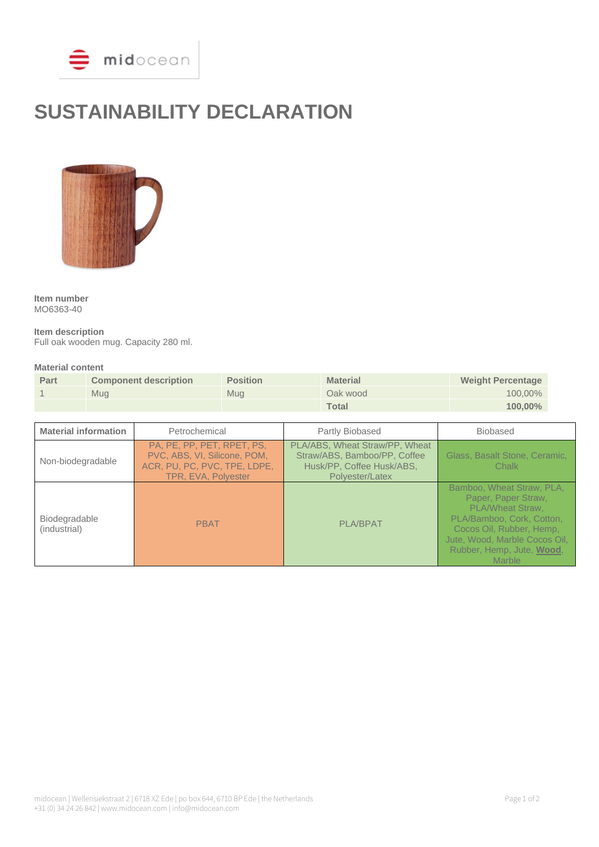

# **SUSTAINABILITY DECLARATION**



**Item number** MO6363-40

**Item description**

Full oak wooden mug. Capacity 280 ml.

#### **Material content**

| Part | <b>Component description</b> | <b>Position</b> | <b>Material</b> | <b>Weight Percentage</b> |
|------|------------------------------|-----------------|-----------------|--------------------------|
|      | Mua                          | Mua             | Oak wood        | $100,00\%$               |
|      |                              |                 | <b>Total</b>    | $100,00\%$               |

| <b>Material information</b>          | Petrochemical                                                                                                     | Partly Biobased                                                                                                | <b>Biobased</b>                                                                                                                                                                                              |
|--------------------------------------|-------------------------------------------------------------------------------------------------------------------|----------------------------------------------------------------------------------------------------------------|--------------------------------------------------------------------------------------------------------------------------------------------------------------------------------------------------------------|
| Non-biodegradable                    | PA, PE, PP, PET, RPET, PS,<br>PVC, ABS, VI, Silicone, POM,<br>ACR, PU, PC, PVC, TPE, LDPE,<br>TPR, EVA, Polyester | PLA/ABS, Wheat Straw/PP, Wheat<br>Straw/ABS, Bamboo/PP, Coffee<br>Husk/PP, Coffee Husk/ABS,<br>Polyester/Latex | Glass, Basalt Stone, Ceramic,<br>Chalk                                                                                                                                                                       |
| <b>Biodegradable</b><br>(industrial) | <b>PBAT</b>                                                                                                       | <b>PLA/BPAT</b>                                                                                                | Bamboo, Wheat Straw, PLA,<br>Paper, Paper Straw,<br><b>PLA/Wheat Straw.</b><br>PLA/Bamboo, Cork, Cotton,<br>Cocos Oil, Rubber, Hemp,<br>Jute, Wood, Marble Cocos Oil,<br>Rubber, Hemp, Jute, Wood,<br>Marble |